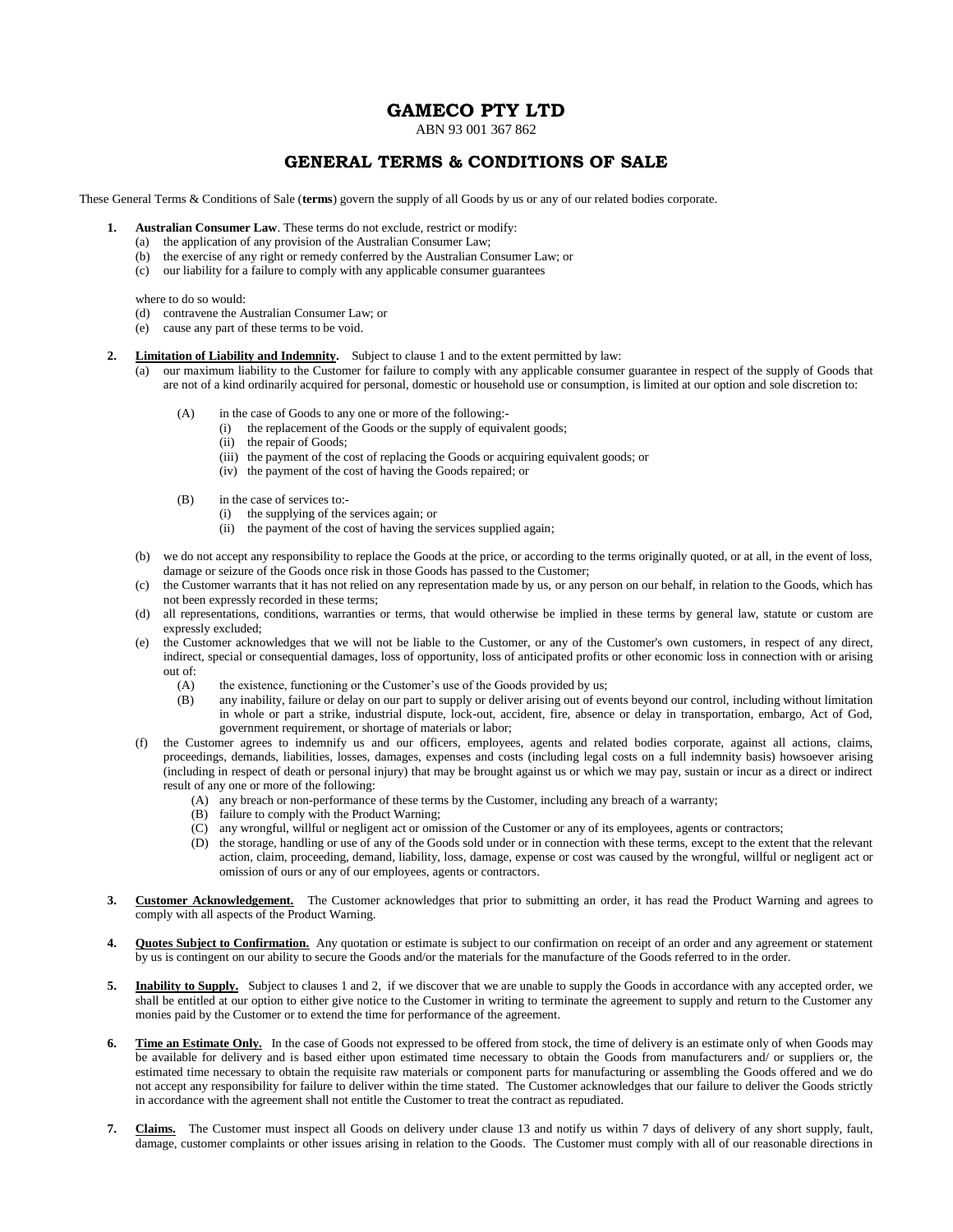## **GAMECO PTY LTD**

ABN 93 001 367 862

# **GENERAL TERMS & CONDITIONS OF SALE**

These General Terms & Conditions of Sale (**terms**) govern the supply of all Goods by us or any of our related bodies corporate.

- **1. Australian Consumer Law**. These terms do not exclude, restrict or modify:
	- (a) the application of any provision of the Australian Consumer Law;
	- (b) the exercise of any right or remedy conferred by the Australian Consumer Law; or
	- (c) our liability for a failure to comply with any applicable consumer guarantees

where to do so would:

- (d) contravene the Australian Consumer Law; or
- (e) cause any part of these terms to be void.
- **2. Limitation of Liability and Indemnity.** Subject to clause 1 and to the extent permitted by law:
	- (a) our maximum liability to the Customer for failure to comply with any applicable consumer guarantee in respect of the supply of Goods that are not of a kind ordinarily acquired for personal, domestic or household use or consumption, is limited at our option and sole discretion to:
		- (A) in the case of Goods to any one or more of the following:-
			- (i) the replacement of the Goods or the supply of equivalent goods;
				- (ii) the repair of Goods;
			- (iii) the payment of the cost of replacing the Goods or acquiring equivalent goods; or
			- (iv) the payment of the cost of having the Goods repaired; or
		- (B) in the case of services to:-
			- (i) the supplying of the services again; or
			- (ii) the payment of the cost of having the services supplied again;
	- (b) we do not accept any responsibility to replace the Goods at the price, or according to the terms originally quoted, or at all, in the event of loss, damage or seizure of the Goods once risk in those Goods has passed to the Customer;
	- (c) the Customer warrants that it has not relied on any representation made by us, or any person on our behalf, in relation to the Goods, which has not been expressly recorded in these terms;
	- (d) all representations, conditions, warranties or terms, that would otherwise be implied in these terms by general law, statute or custom are expressly excluded;
	- (e) the Customer acknowledges that we will not be liable to the Customer, or any of the Customer's own customers, in respect of any direct, indirect, special or consequential damages, loss of opportunity, loss of anticipated profits or other economic loss in connection with or arising out of:
		- (A) the existence, functioning or the Customer's use of the Goods provided by us;<br>(B) any inability, failure or delay on our part to supply or deliver arising out of eve
		- any inability, failure or delay on our part to supply or deliver arising out of events beyond our control, including without limitation in whole or part a strike, industrial dispute, lock-out, accident, fire, absence or delay in transportation, embargo, Act of God, government requirement, or shortage of materials or labor;
	- (f) the Customer agrees to indemnify us and our officers, employees, agents and related bodies corporate, against all actions, claims, proceedings, demands, liabilities, losses, damages, expenses and costs (including legal costs on a full indemnity basis) howsoever arising (including in respect of death or personal injury) that may be brought against us or which we may pay, sustain or incur as a direct or indirect result of any one or more of the following:
		- (A) any breach or non-performance of these terms by the Customer, including any breach of a warranty;
		- (B) failure to comply with the Product Warning;
		- (C) any wrongful, willful or negligent act or omission of the Customer or any of its employees, agents or contractors;
		- (D) the storage, handling or use of any of the Goods sold under or in connection with these terms, except to the extent that the relevant action, claim, proceeding, demand, liability, loss, damage, expense or cost was caused by the wrongful, willful or negligent act or omission of ours or any of our employees, agents or contractors.
- **3. Customer Acknowledgement.** The Customer acknowledges that prior to submitting an order, it has read the Product Warning and agrees to comply with all aspects of the Product Warning.
- 4. **Quotes Subject to Confirmation.** Any quotation or estimate is subject to our confirmation on receipt of an order and any agreement or statement by us is contingent on our ability to secure the Goods and/or the materials for the manufacture of the Goods referred to in the order.
- 5. **Inability to Supply.** Subject to clauses 1 and 2, if we discover that we are unable to supply the Goods in accordance with any accepted order, we shall be entitled at our option to either give notice to the Customer in writing to terminate the agreement to supply and return to the Customer any monies paid by the Customer or to extend the time for performance of the agreement.
- **6.** Time an Estimate Only. In the case of Goods not expressed to be offered from stock, the time of delivery is an estimate only of when Goods may be available for delivery and is based either upon estimated time necessary to obtain the Goods from manufacturers and/ or suppliers or, the estimated time necessary to obtain the requisite raw materials or component parts for manufacturing or assembling the Goods offered and we do not accept any responsibility for failure to deliver within the time stated. The Customer acknowledges that our failure to deliver the Goods strictly in accordance with the agreement shall not entitle the Customer to treat the contract as repudiated.
- <span id="page-0-0"></span>**7. Claims.** The Customer must inspect all Goods on delivery under clause [13](#page-1-0) and notify us within 7 days of delivery of any short supply, fault, damage, customer complaints or other issues arising in relation to the Goods. The Customer must comply with all of our reasonable directions in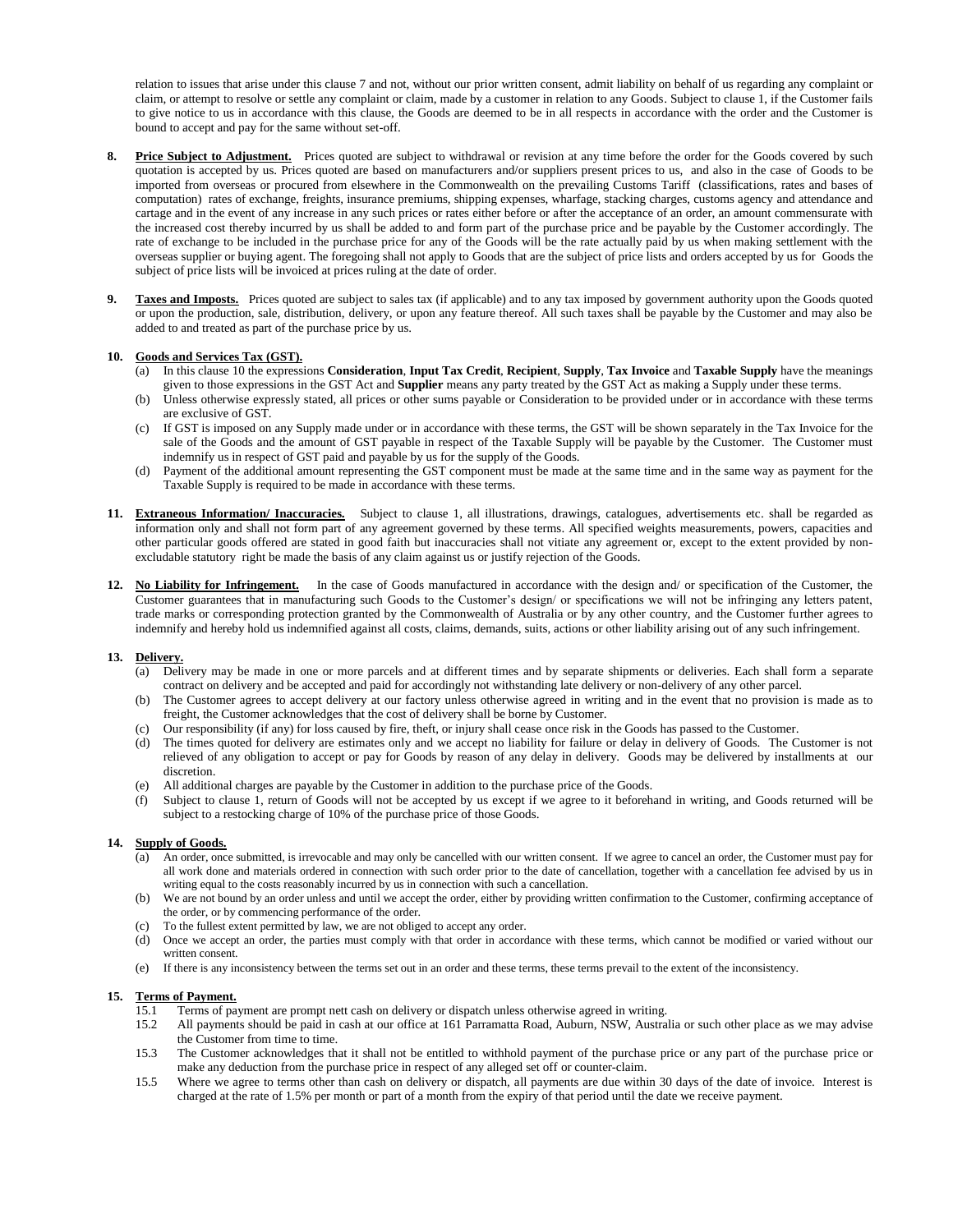relation to issues that arise under this clause [7](#page-0-0) and not, without our prior written consent, admit liability on behalf of us regarding any complaint or claim, or attempt to resolve or settle any complaint or claim, made by a customer in relation to any Goods. Subject to clause 1, if the Customer fails to give notice to us in accordance with this clause, the Goods are deemed to be in all respects in accordance with the order and the Customer is bound to accept and pay for the same without set-off.

- 8. Price Subject to Adjustment. Prices quoted are subject to withdrawal or revision at any time before the order for the Goods covered by such quotation is accepted by us. Prices quoted are based on manufacturers and/or suppliers present prices to us, and also in the case of Goods to be imported from overseas or procured from elsewhere in the Commonwealth on the prevailing Customs Tariff (classifications, rates and bases of computation) rates of exchange, freights, insurance premiums, shipping expenses, wharfage, stacking charges, customs agency and attendance and cartage and in the event of any increase in any such prices or rates either before or after the acceptance of an order, an amount commensurate with the increased cost thereby incurred by us shall be added to and form part of the purchase price and be payable by the Customer accordingly. The rate of exchange to be included in the purchase price for any of the Goods will be the rate actually paid by us when making settlement with the overseas supplier or buying agent. The foregoing shall not apply to Goods that are the subject of price lists and orders accepted by us for Goods the subject of price lists will be invoiced at prices ruling at the date of order.
- **9. Taxes and Imposts.** Prices quoted are subject to sales tax (if applicable) and to any tax imposed by government authority upon the Goods quoted or upon the production, sale, distribution, delivery, or upon any feature thereof. All such taxes shall be payable by the Customer and may also be added to and treated as part of the purchase price by us.

## <span id="page-1-1"></span>**10. Goods and Services Tax (GST).**

- (a) In this claus[e 10](#page-1-1) the expressions **Consideration**, **Input Tax Credit**, **Recipient**, **Supply**, **Tax Invoice** and **Taxable Supply** have the meanings given to those expressions in the GST Act and **Supplier** means any party treated by the GST Act as making a Supply under these terms.
- (b) Unless otherwise expressly stated, all prices or other sums payable or Consideration to be provided under or in accordance with these terms are exclusive of GST.
- (c) If GST is imposed on any Supply made under or in accordance with these terms, the GST will be shown separately in the Tax Invoice for the sale of the Goods and the amount of GST payable in respect of the Taxable Supply will be payable by the Customer. The Customer must indemnify us in respect of GST paid and payable by us for the supply of the Goods.
- (d) Payment of the additional amount representing the GST component must be made at the same time and in the same way as payment for the Taxable Supply is required to be made in accordance with these terms.
- **11. Extraneous Information/ Inaccuracies.** Subject to clause 1, all illustrations, drawings, catalogues, advertisements etc. shall be regarded as information only and shall not form part of any agreement governed by these terms. All specified weights measurements, powers, capacities and other particular goods offered are stated in good faith but inaccuracies shall not vitiate any agreement or, except to the extent provided by nonexcludable statutory right be made the basis of any claim against us or justify rejection of the Goods.
- **12. No Liability for Infringement.** In the case of Goods manufactured in accordance with the design and/ or specification of the Customer, the Customer guarantees that in manufacturing such Goods to the Customer's design/ or specifications we will not be infringing any letters patent, trade marks or corresponding protection granted by the Commonwealth of Australia or by any other country, and the Customer further agrees to indemnify and hereby hold us indemnified against all costs, claims, demands, suits, actions or other liability arising out of any such infringement.

## <span id="page-1-0"></span>**13. Delivery.**

- (a) Delivery may be made in one or more parcels and at different times and by separate shipments or deliveries. Each shall form a separate contract on delivery and be accepted and paid for accordingly not withstanding late delivery or non-delivery of any other parcel.
- (b) The Customer agrees to accept delivery at our factory unless otherwise agreed in writing and in the event that no provision is made as to freight, the Customer acknowledges that the cost of delivery shall be borne by Customer.
- (c) Our responsibility (if any) for loss caused by fire, theft, or injury shall cease once risk in the Goods has passed to the Customer.
- (d) The times quoted for delivery are estimates only and we accept no liability for failure or delay in delivery of Goods. The Customer is not relieved of any obligation to accept or pay for Goods by reason of any delay in delivery. Goods may be delivered by installments at our discretion.
- (e) All additional charges are payable by the Customer in addition to the purchase price of the Goods.
- (f) Subject to clause 1, return of Goods will not be accepted by us except if we agree to it beforehand in writing, and Goods returned will be subject to a restocking charge of 10% of the purchase price of those Goods.

#### **14. Supply of Goods.**

- (a) An order, once submitted, is irrevocable and may only be cancelled with our written consent. If we agree to cancel an order, the Customer must pay for all work done and materials ordered in connection with such order prior to the date of cancellation, together with a cancellation fee advised by us in writing equal to the costs reasonably incurred by us in connection with such a cancellation.
- We are not bound by an order unless and until we accept the order, either by providing written confirmation to the Customer, confirming acceptance of the order, or by commencing performance of the order.
- (c) To the fullest extent permitted by law, we are not obliged to accept any order.
- (d) Once we accept an order, the parties must comply with that order in accordance with these terms, which cannot be modified or varied without our written consent.
- (e) If there is any inconsistency between the terms set out in an order and these terms, these terms prevail to the extent of the inconsistency.

## <span id="page-1-2"></span>**15. Terms of Payment.**

- 15.1 Terms of payment are prompt nett cash on delivery or dispatch unless otherwise agreed in writing.
- 15.2 All payments should be paid in cash at our office at 161 Parramatta Road, Auburn, NSW, Australia or such other place as we may advise the Customer from time to time.
- 15.3 The Customer acknowledges that it shall not be entitled to withhold payment of the purchase price or any part of the purchase price or make any deduction from the purchase price in respect of any alleged set off or counter-claim.
- 15.5 Where we agree to terms other than cash on delivery or dispatch, all payments are due within 30 days of the date of invoice. Interest is charged at the rate of 1.5% per month or part of a month from the expiry of that period until the date we receive payment.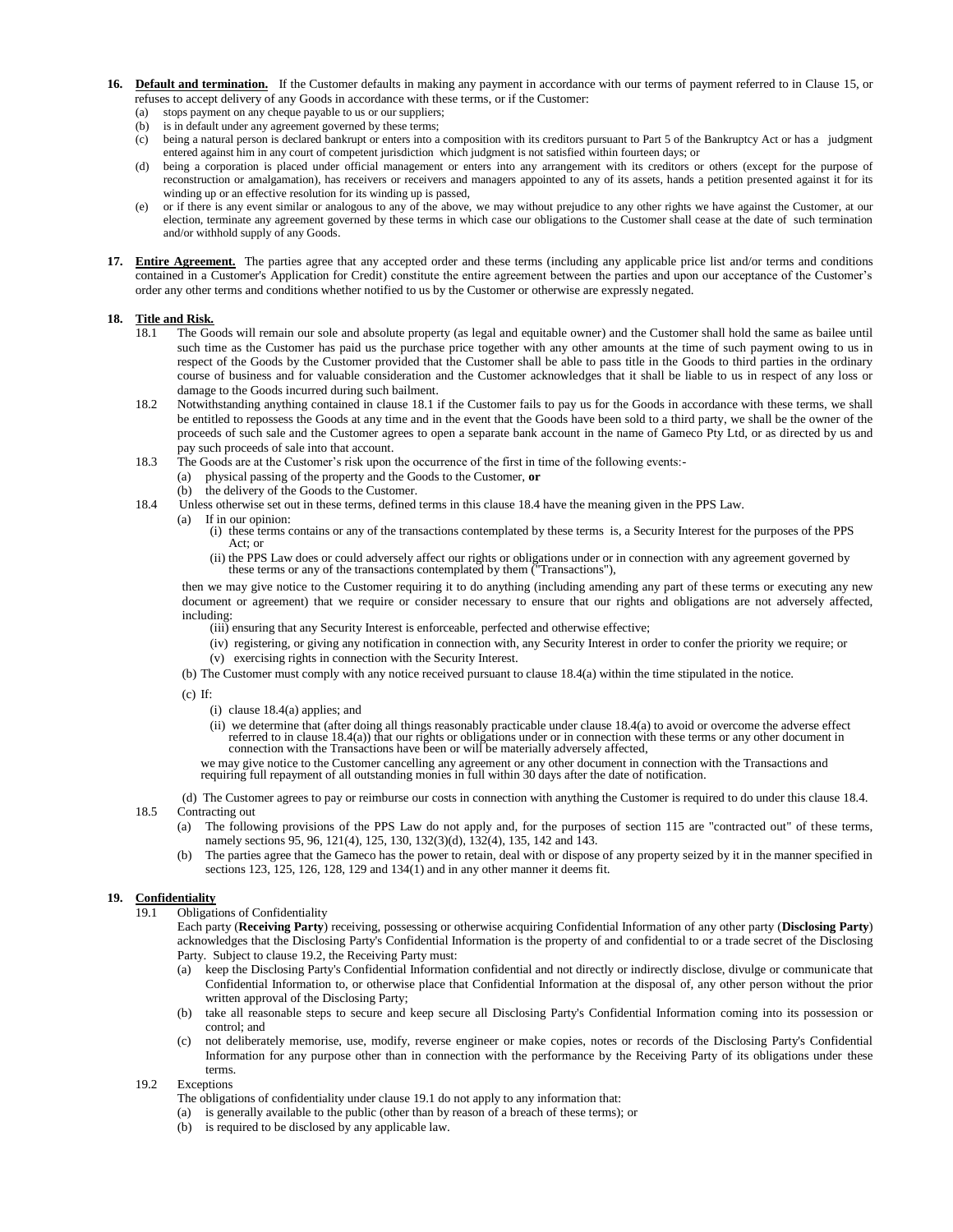- **16. Default and termination.** If the Customer defaults in making any payment in accordance with our terms of payment referred to in Clause [15,](#page-1-2) or refuses to accept delivery of any Goods in accordance with these terms, or if the Customer:
	- (a) stops payment on any cheque payable to us or our suppliers;
	- (b) is in default under any agreement governed by these terms;
	- (c) being a natural person is declared bankrupt or enters into a composition with its creditors pursuant to Part 5 of the Bankruptcy Act or has a judgment entered against him in any court of competent jurisdiction which judgment is not satisfied within fourteen days; or
	- (d) being a corporation is placed under official management or enters into any arrangement with its creditors or others (except for the purpose of reconstruction or amalgamation), has receivers or receivers and managers appointed to any of its assets, hands a petition presented against it for its winding up or an effective resolution for its winding up is passed,
	- (e) or if there is any event similar or analogous to any of the above, we may without prejudice to any other rights we have against the Customer, at our election, terminate any agreement governed by these terms in which case our obligations to the Customer shall cease at the date of such termination and/or withhold supply of any Goods.
- **17. Entire Agreement.** The parties agree that any accepted order and these terms (including any applicable price list and/or terms and conditions contained in a Customer's Application for Credit) constitute the entire agreement between the parties and upon our acceptance of the Customer's order any other terms and conditions whether notified to us by the Customer or otherwise are expressly negated.

## **18. Title and Risk.**

- 18.1 The Goods will remain our sole and absolute property (as legal and equitable owner) and the Customer shall hold the same as bailee until such time as the Customer has paid us the purchase price together with any other amounts at the time of such payment owing to us in respect of the Goods by the Customer provided that the Customer shall be able to pass title in the Goods to third parties in the ordinary course of business and for valuable consideration and the Customer acknowledges that it shall be liable to us in respect of any loss or damage to the Goods incurred during such bailment.
- 18.2 Notwithstanding anything contained in clause 18.1 if the Customer fails to pay us for the Goods in accordance with these terms, we shall be entitled to repossess the Goods at any time and in the event that the Goods have been sold to a third party, we shall be the owner of the proceeds of such sale and the Customer agrees to open a separate bank account in the name of Gameco Pty Ltd, or as directed by us and pay such proceeds of sale into that account.
- 18.3 The Goods are at the Customer's risk upon the occurrence of the first in time of the following events:-
	- (a) physical passing of the property and the Goods to the Customer, **or**  (b) the delivery of the Goods to the Customer.
- 18.4 Unless otherwise set out in these terms, defined terms in this clause 18.4 have the meaning given in the PPS Law.
	- (a) If in our opinion:
		- (i) these terms contains or any of the transactions contemplated by these terms is, a Security Interest for the purposes of the PPS Act; or
		- (ii) the PPS Law does or could adversely affect our rights or obligations under or in connection with any agreement governed by these terms or any of the transactions contemplated by them ("Transactions"),

then we may give notice to the Customer requiring it to do anything (including amending any part of these terms or executing any new document or agreement) that we require or consider necessary to ensure that our rights and obligations are not adversely affected, including:

- (iii) ensuring that any Security Interest is enforceable, perfected and otherwise effective;
- (iv) registering, or giving any notification in connection with, any Security Interest in order to confer the priority we require; or
- (v) exercising rights in connection with the Security Interest.
- (b) The Customer must comply with any notice received pursuant to clause 18.4(a) within the time stipulated in the notice.
- (c) If:
	- (i) clause 18.4(a) applies; and
	- (ii) we determine that (after doing all things reasonably practicable under clause 18.4(a) to avoid or overcome the adverse effect referred to in clause 18.4(a)) that our rights or obligations under or in connection with these terms or any other document in connection with the Transactions have been or will be materially adversely affected,

we may give notice to the Customer cancelling any agreement or any other document in connection with the Transactions and requiring full repayment of all outstanding monies in full within 30 days after the date of notification.

 (d) The Customer agrees to pay or reimburse our costs in connection with anything the Customer is required to do under this clause 18.4. 18.5 Contracting out

- (a) The following provisions of the PPS Law do not apply and, for the purposes of section 115 are "contracted out" of these terms, namely sections 95, 96, 121(4), 125, 130, 132(3)(d), 132(4), 135, 142 and 143.
- (b) The parties agree that the Gameco has the power to retain, deal with or dispose of any property seized by it in the manner specified in sections 123, 125, 126, 128, 129 and 134(1) and in any other manner it deems fit.

## **19. Confidentiality**

19.1 Obligations of Confidentiality

Each party (**Receiving Party**) receiving, possessing or otherwise acquiring Confidential Information of any other party (**Disclosing Party**) acknowledges that the Disclosing Party's Confidential Information is the property of and confidential to or a trade secret of the Disclosing Party. Subject to clause 19.2, the Receiving Party must:

- (a) keep the Disclosing Party's Confidential Information confidential and not directly or indirectly disclose, divulge or communicate that Confidential Information to, or otherwise place that Confidential Information at the disposal of, any other person without the prior written approval of the Disclosing Party;
- (b) take all reasonable steps to secure and keep secure all Disclosing Party's Confidential Information coming into its possession or control; and
- (c) not deliberately memorise, use, modify, reverse engineer or make copies, notes or records of the Disclosing Party's Confidential Information for any purpose other than in connection with the performance by the Receiving Party of its obligations under these terms.

## 19.2 Exceptions

- The obligations of confidentiality under clause 19.1 do not apply to any information that:
- (a) is generally available to the public (other than by reason of a breach of these terms); or
- (b) is required to be disclosed by any applicable law.